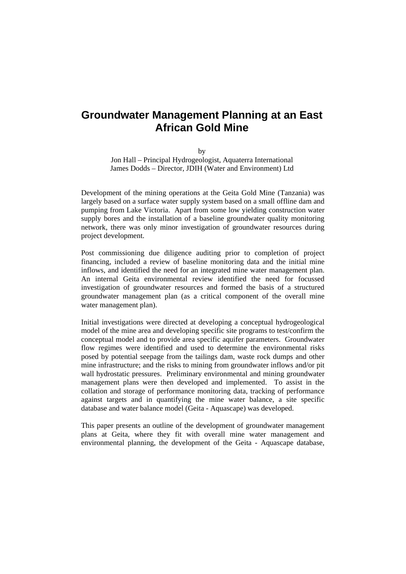# **Groundwater Management Planning at an East African Gold Mine**

by

Jon Hall – Principal Hydrogeologist, Aquaterra International James Dodds – Director, JDIH (Water and Environment) Ltd

Development of the mining operations at the Geita Gold Mine (Tanzania) was largely based on a surface water supply system based on a small offline dam and pumping from Lake Victoria. Apart from some low yielding construction water supply bores and the installation of a baseline groundwater quality monitoring network, there was only minor investigation of groundwater resources during project development.

Post commissioning due diligence auditing prior to completion of project financing, included a review of baseline monitoring data and the initial mine inflows, and identified the need for an integrated mine water management plan. An internal Geita environmental review identified the need for focussed investigation of groundwater resources and formed the basis of a structured groundwater management plan (as a critical component of the overall mine water management plan).

Initial investigations were directed at developing a conceptual hydrogeological model of the mine area and developing specific site programs to test/confirm the conceptual model and to provide area specific aquifer parameters. Groundwater flow regimes were identified and used to determine the environmental risks posed by potential seepage from the tailings dam, waste rock dumps and other mine infrastructure; and the risks to mining from groundwater inflows and/or pit wall hydrostatic pressures. Preliminary environmental and mining groundwater management plans were then developed and implemented. To assist in the collation and storage of performance monitoring data, tracking of performance against targets and in quantifying the mine water balance, a site specific database and water balance model (Geita - Aquascape) was developed.

This paper presents an outline of the development of groundwater management plans at Geita, where they fit with overall mine water management and environmental planning, the development of the Geita - Aquascape database,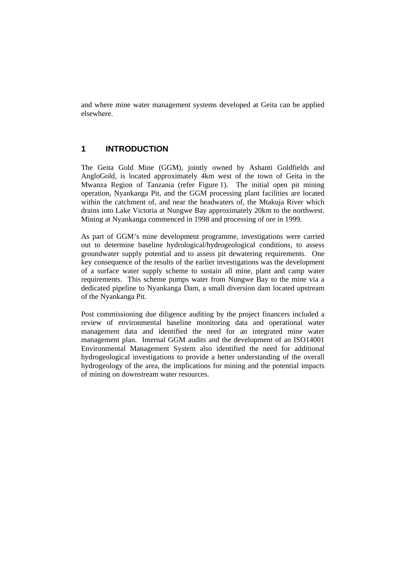and where mine water management systems developed at Geita can be applied elsewhere.

# **1 INTRODUCTION**

The Geita Gold Mine (GGM), jointly owned by Ashanti Goldfields and AngloGold, is located approximately 4km west of the town of Geita in the Mwanza Region of Tanzania (refer Figure 1). The initial open pit mining operation, Nyankanga Pit, and the GGM processing plant facilities are located within the catchment of, and near the headwaters of, the Mtakuja River which drains into Lake Victoria at Nungwe Bay approximately 20km to the northwest. Mining at Nyankanga commenced in 1998 and processing of ore in 1999.

As part of GGM's mine development programme, investigations were carried out to determine baseline hydrological/hydrogeological conditions, to assess groundwater supply potential and to assess pit dewatering requirements. One key consequence of the results of the earlier investigations was the development of a surface water supply scheme to sustain all mine, plant and camp water requirements. This scheme pumps water from Nungwe Bay to the mine via a dedicated pipeline to Nyankanga Dam, a small diversion dam located upstream of the Nyankanga Pit.

Post commissioning due diligence auditing by the project financers included a review of environmental baseline monitoring data and operational water management data and identified the need for an integrated mine water management plan. Internal GGM audits and the development of an ISO14001 Environmental Management System also identified the need for additional hydrogeological investigations to provide a better understanding of the overall hydrogeology of the area, the implications for mining and the potential impacts of mining on downstream water resources.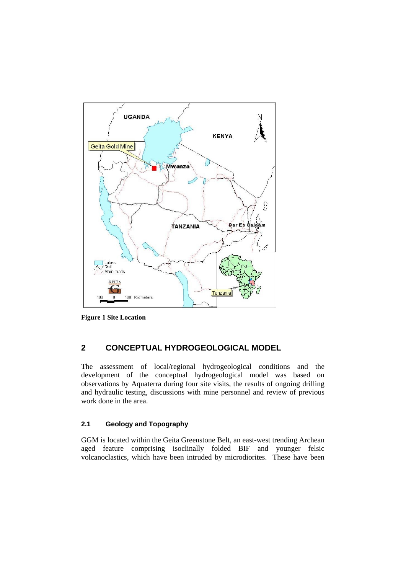

**Figure 1 Site Location** 

# **2 CONCEPTUAL HYDROGEOLOGICAL MODEL**

The assessment of local/regional hydrogeological conditions and the development of the conceptual hydrogeological model was based on observations by Aquaterra during four site visits, the results of ongoing drilling and hydraulic testing, discussions with mine personnel and review of previous work done in the area.

#### **2.1 Geology and Topography**

GGM is located within the Geita Greenstone Belt, an east-west trending Archean aged feature comprising isoclinally folded BIF and younger felsic volcanoclastics, which have been intruded by microdiorites. These have been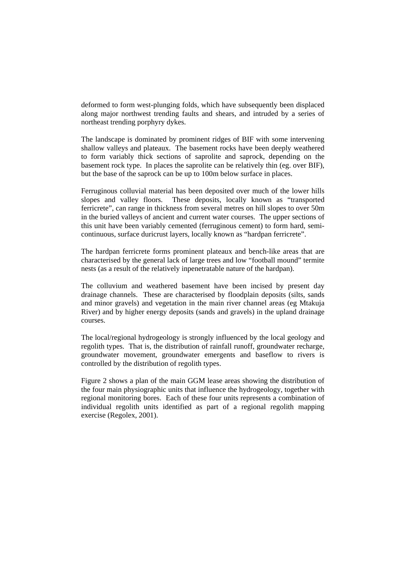deformed to form west-plunging folds, which have subsequently been displaced along major northwest trending faults and shears, and intruded by a series of northeast trending porphyry dykes.

The landscape is dominated by prominent ridges of BIF with some intervening shallow valleys and plateaux. The basement rocks have been deeply weathered to form variably thick sections of saprolite and saprock, depending on the basement rock type. In places the saprolite can be relatively thin (eg. over BIF), but the base of the saprock can be up to 100m below surface in places.

Ferruginous colluvial material has been deposited over much of the lower hills slopes and valley floors. These deposits, locally known as "transported ferricrete", can range in thickness from several metres on hill slopes to over 50m in the buried valleys of ancient and current water courses. The upper sections of this unit have been variably cemented (ferruginous cement) to form hard, semicontinuous, surface duricrust layers, locally known as "hardpan ferricrete".

The hardpan ferricrete forms prominent plateaux and bench-like areas that are characterised by the general lack of large trees and low "football mound" termite nests (as a result of the relatively inpenetratable nature of the hardpan).

The colluvium and weathered basement have been incised by present day drainage channels. These are characterised by floodplain deposits (silts, sands and minor gravels) and vegetation in the main river channel areas (eg Mtakuja River) and by higher energy deposits (sands and gravels) in the upland drainage courses.

The local/regional hydrogeology is strongly influenced by the local geology and regolith types. That is, the distribution of rainfall runoff, groundwater recharge, groundwater movement, groundwater emergents and baseflow to rivers is controlled by the distribution of regolith types.

Figure 2 shows a plan of the main GGM lease areas showing the distribution of the four main physiographic units that influence the hydrogeology, together with regional monitoring bores. Each of these four units represents a combination of individual regolith units identified as part of a regional regolith mapping exercise (Regolex, 2001).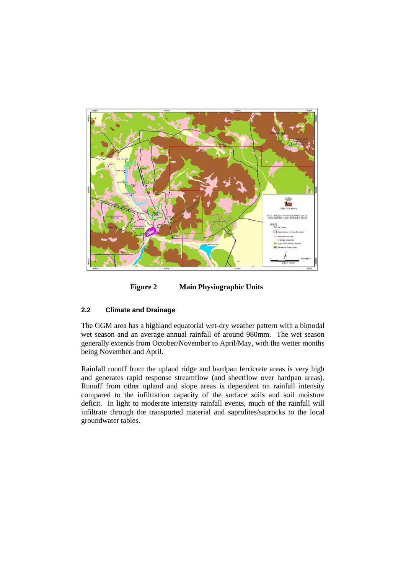

**Figure 2 Main Physiographic Units** 

#### **2.2 Climate and Drainage**

The GGM area has a highland equatorial wet-dry weather pattern with a bimodal wet season and an average annual rainfall of around 980mm. The wet season generally extends from October/November to April/May, with the wetter months being November and April.

Rainfall runoff from the upland ridge and hardpan ferricrete areas is very high and generates rapid response streamflow (and sheetflow over hardpan areas). Runoff from other upland and slope areas is dependent on rainfall intensity compared to the infiltration capacity of the surface soils and soil moisture deficit. In light to moderate intensity rainfall events, much of the rainfall will infiltrate through the transported material and saprolites/saprocks to the local groundwater tables.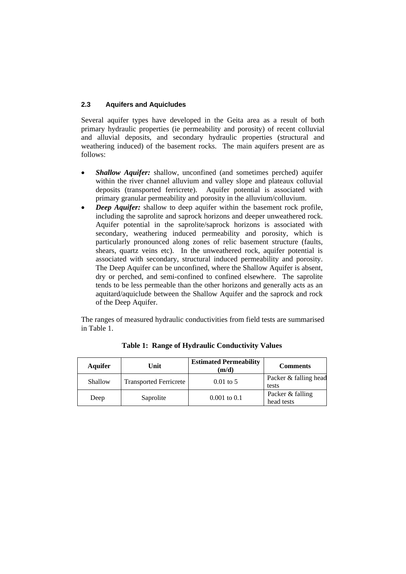#### **2.3 Aquifers and Aquicludes**

Several aquifer types have developed in the Geita area as a result of both primary hydraulic properties (ie permeability and porosity) of recent colluvial and alluvial deposits, and secondary hydraulic properties (structural and weathering induced) of the basement rocks. The main aquifers present are as follows:

- *Shallow Aquifer:* shallow, unconfined (and sometimes perched) aquifer within the river channel alluvium and valley slope and plateaux colluvial deposits (transported ferricrete). Aquifer potential is associated with primary granular permeability and porosity in the alluvium/colluvium.
- *Deep Aquifer:* shallow to deep aquifer within the basement rock profile, including the saprolite and saprock horizons and deeper unweathered rock. Aquifer potential in the saprolite/saprock horizons is associated with secondary, weathering induced permeability and porosity, which is particularly pronounced along zones of relic basement structure (faults, shears, quartz veins etc). In the unweathered rock, aquifer potential is associated with secondary, structural induced permeability and porosity. The Deep Aquifer can be unconfined, where the Shallow Aquifer is absent, dry or perched, and semi-confined to confined elsewhere. The saprolite tends to be less permeable than the other horizons and generally acts as an aquitard/aquiclude between the Shallow Aquifer and the saprock and rock of the Deep Aquifer.

The ranges of measured hydraulic conductivities from field tests are summarised in Table 1.

| <b>Aquifer</b> | Unit                          | <b>Estimated Permeability</b><br>$({\bf m}/{\bf d})$ | <b>Comments</b>                |
|----------------|-------------------------------|------------------------------------------------------|--------------------------------|
| Shallow        | <b>Transported Ferricrete</b> | $0.01$ to 5                                          | Packer & falling head<br>tests |
| Deep           | Saprolite                     | $0.001$ to $0.1$                                     | Packer & falling<br>head tests |

**Table 1: Range of Hydraulic Conductivity Values**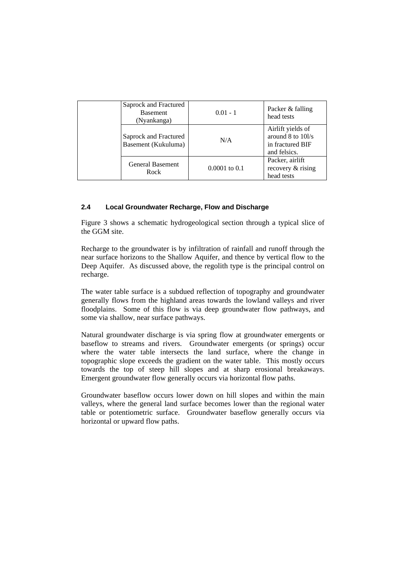|  | Saprock and Fractured<br><b>Basement</b><br>(Nyankanga) | $0.01 - 1$        | Packer & falling<br>head tests                                             |
|--|---------------------------------------------------------|-------------------|----------------------------------------------------------------------------|
|  | Saprock and Fractured<br>Basement (Kukuluma)            | N/A               | Airlift yields of<br>around 8 to 10l/s<br>in fractured BIF<br>and felsics. |
|  | <b>General Basement</b><br>Rock                         | $0.0001$ to $0.1$ | Packer, airlift<br>recovery & rising<br>head tests                         |

#### **2.4 Local Groundwater Recharge, Flow and Discharge**

Figure 3 shows a schematic hydrogeological section through a typical slice of the GGM site.

Recharge to the groundwater is by infiltration of rainfall and runoff through the near surface horizons to the Shallow Aquifer, and thence by vertical flow to the Deep Aquifer. As discussed above, the regolith type is the principal control on recharge.

The water table surface is a subdued reflection of topography and groundwater generally flows from the highland areas towards the lowland valleys and river floodplains. Some of this flow is via deep groundwater flow pathways, and some via shallow, near surface pathways.

Natural groundwater discharge is via spring flow at groundwater emergents or baseflow to streams and rivers. Groundwater emergents (or springs) occur where the water table intersects the land surface, where the change in topographic slope exceeds the gradient on the water table. This mostly occurs towards the top of steep hill slopes and at sharp erosional breakaways. Emergent groundwater flow generally occurs via horizontal flow paths.

Groundwater baseflow occurs lower down on hill slopes and within the main valleys, where the general land surface becomes lower than the regional water table or potentiometric surface. Groundwater baseflow generally occurs via horizontal or upward flow paths.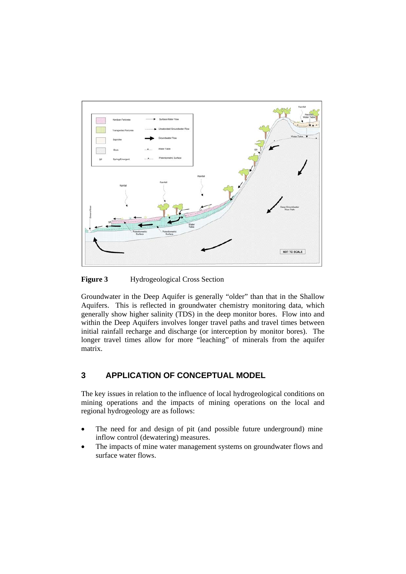

**Figure 3** Hydrogeological Cross Section

Groundwater in the Deep Aquifer is generally "older" than that in the Shallow Aquifers. This is reflected in groundwater chemistry monitoring data, which generally show higher salinity (TDS) in the deep monitor bores. Flow into and within the Deep Aquifers involves longer travel paths and travel times between initial rainfall recharge and discharge (or interception by monitor bores). The longer travel times allow for more "leaching" of minerals from the aquifer matrix.

# **3 APPLICATION OF CONCEPTUAL MODEL**

The key issues in relation to the influence of local hydrogeological conditions on mining operations and the impacts of mining operations on the local and regional hydrogeology are as follows:

- The need for and design of pit (and possible future underground) mine inflow control (dewatering) measures.
- The impacts of mine water management systems on groundwater flows and surface water flows.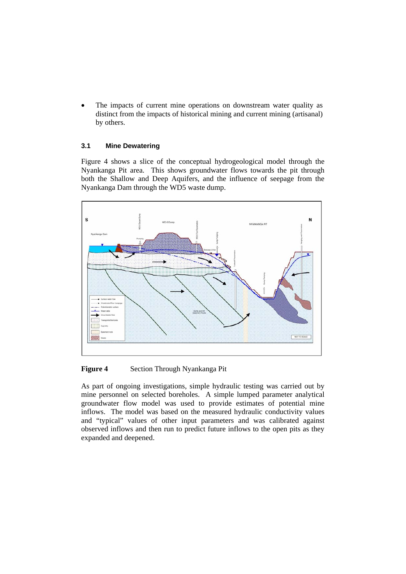The impacts of current mine operations on downstream water quality as distinct from the impacts of historical mining and current mining (artisanal) by others.

#### **3.1 Mine Dewatering**

Figure 4 shows a slice of the conceptual hydrogeological model through the Nyankanga Pit area. This shows groundwater flows towards the pit through both the Shallow and Deep Aquifers, and the influence of seepage from the Nyankanga Dam through the WD5 waste dump.



**Figure 4** Section Through Nyankanga Pit

As part of ongoing investigations, simple hydraulic testing was carried out by mine personnel on selected boreholes. A simple lumped parameter analytical groundwater flow model was used to provide estimates of potential mine inflows. The model was based on the measured hydraulic conductivity values and "typical" values of other input parameters and was calibrated against observed inflows and then run to predict future inflows to the open pits as they expanded and deepened.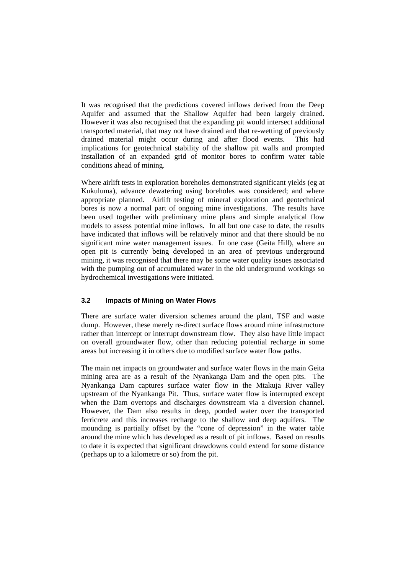It was recognised that the predictions covered inflows derived from the Deep Aquifer and assumed that the Shallow Aquifer had been largely drained. However it was also recognised that the expanding pit would intersect additional transported material, that may not have drained and that re-wetting of previously drained material might occur during and after flood events. This had implications for geotechnical stability of the shallow pit walls and prompted installation of an expanded grid of monitor bores to confirm water table conditions ahead of mining.

Where airlift tests in exploration boreholes demonstrated significant yields (eg at Kukuluma), advance dewatering using boreholes was considered; and where appropriate planned. Airlift testing of mineral exploration and geotechnical bores is now a normal part of ongoing mine investigations. The results have been used together with preliminary mine plans and simple analytical flow models to assess potential mine inflows. In all but one case to date, the results have indicated that inflows will be relatively minor and that there should be no significant mine water management issues. In one case (Geita Hill), where an open pit is currently being developed in an area of previous underground mining, it was recognised that there may be some water quality issues associated with the pumping out of accumulated water in the old underground workings so hydrochemical investigations were initiated.

#### **3.2 Impacts of Mining on Water Flows**

There are surface water diversion schemes around the plant, TSF and waste dump. However, these merely re-direct surface flows around mine infrastructure rather than intercept or interrupt downstream flow. They also have little impact on overall groundwater flow, other than reducing potential recharge in some areas but increasing it in others due to modified surface water flow paths.

The main net impacts on groundwater and surface water flows in the main Geita mining area are as a result of the Nyankanga Dam and the open pits. The Nyankanga Dam captures surface water flow in the Mtakuja River valley upstream of the Nyankanga Pit. Thus, surface water flow is interrupted except when the Dam overtops and discharges downstream via a diversion channel. However, the Dam also results in deep, ponded water over the transported ferricrete and this increases recharge to the shallow and deep aquifers. The mounding is partially offset by the "cone of depression" in the water table around the mine which has developed as a result of pit inflows. Based on results to date it is expected that significant drawdowns could extend for some distance (perhaps up to a kilometre or so) from the pit.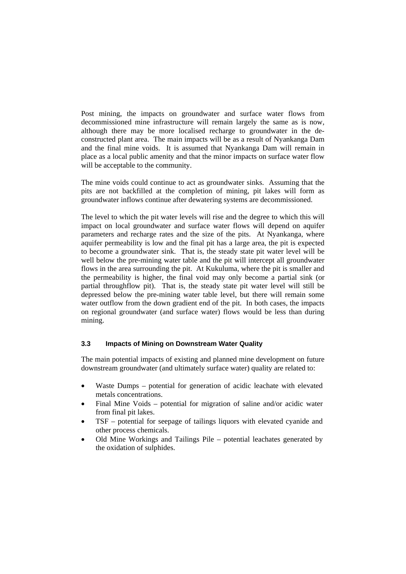Post mining, the impacts on groundwater and surface water flows from decommissioned mine infrastructure will remain largely the same as is now, although there may be more localised recharge to groundwater in the deconstructed plant area. The main impacts will be as a result of Nyankanga Dam and the final mine voids. It is assumed that Nyankanga Dam will remain in place as a local public amenity and that the minor impacts on surface water flow will be acceptable to the community.

The mine voids could continue to act as groundwater sinks. Assuming that the pits are not backfilled at the completion of mining, pit lakes will form as groundwater inflows continue after dewatering systems are decommissioned.

The level to which the pit water levels will rise and the degree to which this will impact on local groundwater and surface water flows will depend on aquifer parameters and recharge rates and the size of the pits. At Nyankanga, where aquifer permeability is low and the final pit has a large area, the pit is expected to become a groundwater sink. That is, the steady state pit water level will be well below the pre-mining water table and the pit will intercept all groundwater flows in the area surrounding the pit. At Kukuluma, where the pit is smaller and the permeability is higher, the final void may only become a partial sink (or partial throughflow pit). That is, the steady state pit water level will still be depressed below the pre-mining water table level, but there will remain some water outflow from the down gradient end of the pit. In both cases, the impacts on regional groundwater (and surface water) flows would be less than during mining.

#### **3.3 Impacts of Mining on Downstream Water Quality**

The main potential impacts of existing and planned mine development on future downstream groundwater (and ultimately surface water) quality are related to:

- Waste Dumps potential for generation of acidic leachate with elevated metals concentrations.
- Final Mine Voids potential for migration of saline and/or acidic water from final pit lakes.
- TSF potential for seepage of tailings liquors with elevated cyanide and other process chemicals.
- Old Mine Workings and Tailings Pile potential leachates generated by the oxidation of sulphides.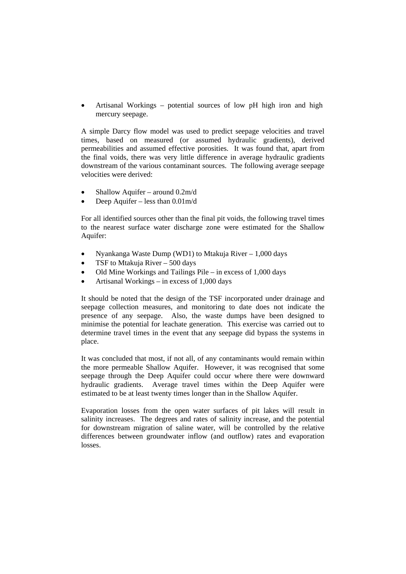• Artisanal Workings – potential sources of low pH high iron and high mercury seepage.

A simple Darcy flow model was used to predict seepage velocities and travel times, based on measured (or assumed hydraulic gradients), derived permeabilities and assumed effective porosities. It was found that, apart from the final voids, there was very little difference in average hydraulic gradients downstream of the various contaminant sources. The following average seepage velocities were derived:

- Shallow Aquifer around 0.2m/d
- Deep Aquifer less than  $0.01$ m/d

For all identified sources other than the final pit voids, the following travel times to the nearest surface water discharge zone were estimated for the Shallow Aquifer:

- Nyankanga Waste Dump (WD1) to Mtakuja River 1,000 days
- TSF to Mtakuja River  $-500$  days
- Old Mine Workings and Tailings Pile in excess of 1,000 days
- Artisanal Workings in excess of 1,000 days

It should be noted that the design of the TSF incorporated under drainage and seepage collection measures, and monitoring to date does not indicate the presence of any seepage. Also, the waste dumps have been designed to minimise the potential for leachate generation. This exercise was carried out to determine travel times in the event that any seepage did bypass the systems in place.

It was concluded that most, if not all, of any contaminants would remain within the more permeable Shallow Aquifer. However, it was recognised that some seepage through the Deep Aquifer could occur where there were downward hydraulic gradients. Average travel times within the Deep Aquifer were estimated to be at least twenty times longer than in the Shallow Aquifer.

Evaporation losses from the open water surfaces of pit lakes will result in salinity increases. The degrees and rates of salinity increase, and the potential for downstream migration of saline water, will be controlled by the relative differences between groundwater inflow (and outflow) rates and evaporation losses.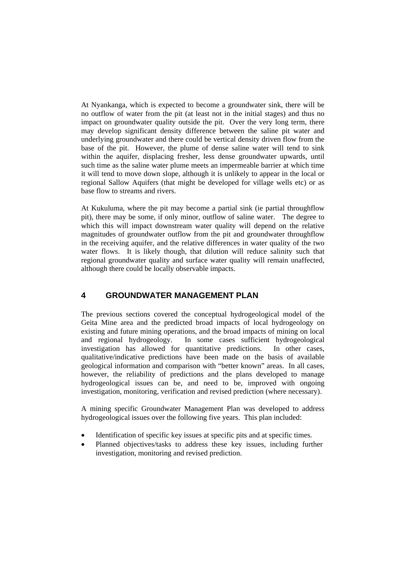At Nyankanga, which is expected to become a groundwater sink, there will be no outflow of water from the pit (at least not in the initial stages) and thus no impact on groundwater quality outside the pit. Over the very long term, there may develop significant density difference between the saline pit water and underlying groundwater and there could be vertical density driven flow from the base of the pit. However, the plume of dense saline water will tend to sink within the aquifer, displacing fresher, less dense groundwater upwards, until such time as the saline water plume meets an impermeable barrier at which time it will tend to move down slope, although it is unlikely to appear in the local or regional Sallow Aquifers (that might be developed for village wells etc) or as base flow to streams and rivers.

At Kukuluma, where the pit may become a partial sink (ie partial throughflow pit), there may be some, if only minor, outflow of saline water. The degree to which this will impact downstream water quality will depend on the relative magnitudes of groundwater outflow from the pit and groundwater throughflow in the receiving aquifer, and the relative differences in water quality of the two water flows. It is likely though, that dilution will reduce salinity such that regional groundwater quality and surface water quality will remain unaffected, although there could be locally observable impacts.

# **4 GROUNDWATER MANAGEMENT PLAN**

The previous sections covered the conceptual hydrogeological model of the Geita Mine area and the predicted broad impacts of local hydrogeology on existing and future mining operations, and the broad impacts of mining on local and regional hydrogeology. In some cases sufficient hydrogeological investigation has allowed for quantitative predictions. In other cases, qualitative/indicative predictions have been made on the basis of available geological information and comparison with "better known" areas. In all cases, however, the reliability of predictions and the plans developed to manage hydrogeological issues can be, and need to be, improved with ongoing investigation, monitoring, verification and revised prediction (where necessary).

A mining specific Groundwater Management Plan was developed to address hydrogeological issues over the following five years. This plan included:

- Identification of specific key issues at specific pits and at specific times.
- Planned objectives/tasks to address these key issues, including further investigation, monitoring and revised prediction.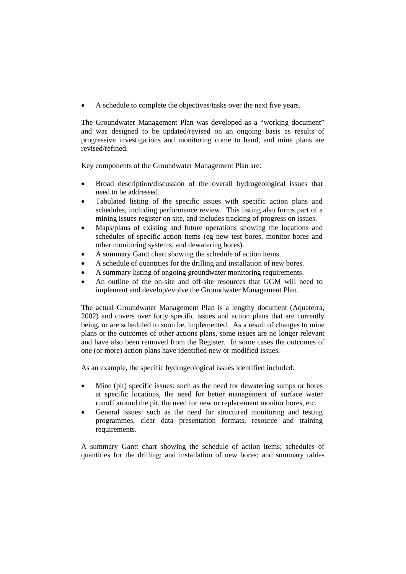• A schedule to complete the objectives/tasks over the next five years.

The Groundwater Management Plan was developed as a "working document" and was designed to be updated/revised on an ongoing basis as results of progressive investigations and monitoring come to hand, and mine plans are revised/refined.

Key components of the Groundwater Management Plan are:

- Broad description/discussion of the overall hydrogeological issues that need to be addressed.
- Tabulated listing of the specific issues with specific action plans and schedules, including performance review. This listing also forms part of a mining issues register on site, and includes tracking of progress on issues.
- Maps/plans of existing and future operations showing the locations and schedules of specific action items (eg new test bores, monitor bores and other monitoring systems, and dewatering bores).
- A summary Gantt chart showing the schedule of action items.
- A schedule of quantities for the drilling and installation of new bores.
- A summary listing of ongoing groundwater monitoring requirements.
- An outline of the on-site and off-site resources that GGM will need to implement and develop/evolve the Groundwater Management Plan.

The actual Groundwater Management Plan is a lengthy document (Aquaterra, 2002) and covers over forty specific issues and action plans that are currently being, or are scheduled to soon be, implemented. As a result of changes to mine plans or the outcomes of other actions plans, some issues are no longer relevant and have also been removed from the Register. In some cases the outcomes of one (or more) action plans have identified new or modified issues.

As an example, the specific hydrogeological issues identified included:

- Mine (pit) specific issues: such as the need for dewatering sumps or bores at specific locations, the need for better management of surface water runoff around the pit, the need for new or replacement monitor bores, etc.
- General issues: such as the need for structured monitoring and testing programmes, clear data presentation formats, resource and training requirements.

A summary Gantt chart showing the schedule of action items; schedules of quantities for the drilling; and installation of new bores; and summary tables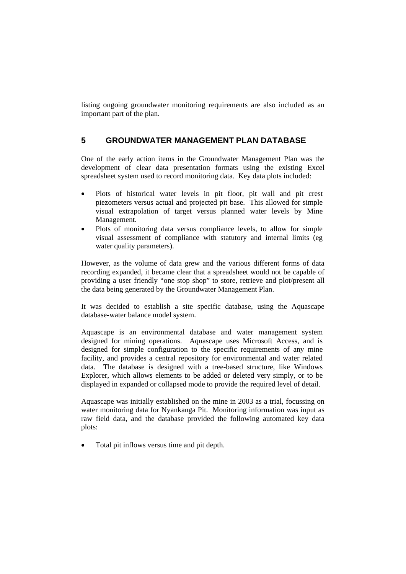listing ongoing groundwater monitoring requirements are also included as an important part of the plan.

# **5 GROUNDWATER MANAGEMENT PLAN DATABASE**

One of the early action items in the Groundwater Management Plan was the development of clear data presentation formats using the existing Excel spreadsheet system used to record monitoring data. Key data plots included:

- Plots of historical water levels in pit floor, pit wall and pit crest piezometers versus actual and projected pit base. This allowed for simple visual extrapolation of target versus planned water levels by Mine Management.
- Plots of monitoring data versus compliance levels, to allow for simple visual assessment of compliance with statutory and internal limits (eg water quality parameters).

However, as the volume of data grew and the various different forms of data recording expanded, it became clear that a spreadsheet would not be capable of providing a user friendly "one stop shop" to store, retrieve and plot/present all the data being generated by the Groundwater Management Plan.

It was decided to establish a site specific database, using the Aquascape database-water balance model system.

Aquascape is an environmental database and water management system designed for mining operations. Aquascape uses Microsoft Access, and is designed for simple configuration to the specific requirements of any mine facility, and provides a central repository for environmental and water related data. The database is designed with a tree-based structure, like Windows Explorer, which allows elements to be added or deleted very simply, or to be displayed in expanded or collapsed mode to provide the required level of detail.

Aquascape was initially established on the mine in 2003 as a trial, focussing on water monitoring data for Nyankanga Pit. Monitoring information was input as raw field data, and the database provided the following automated key data plots:

• Total pit inflows versus time and pit depth.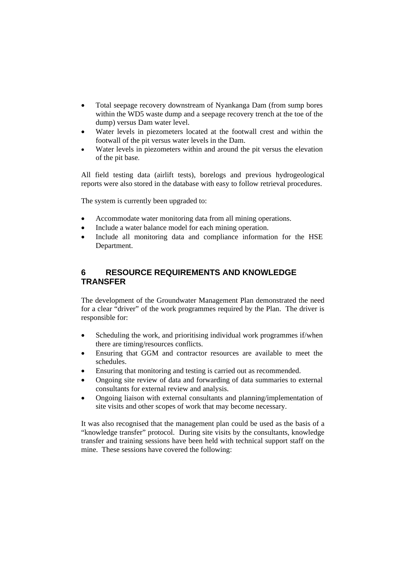- Total seepage recovery downstream of Nyankanga Dam (from sump bores within the WD5 waste dump and a seepage recovery trench at the toe of the dump) versus Dam water level.
- Water levels in piezometers located at the footwall crest and within the footwall of the pit versus water levels in the Dam.
- Water levels in piezometers within and around the pit versus the elevation of the pit base.

All field testing data (airlift tests), borelogs and previous hydrogeological reports were also stored in the database with easy to follow retrieval procedures.

The system is currently been upgraded to:

- Accommodate water monitoring data from all mining operations.
- Include a water balance model for each mining operation.
- Include all monitoring data and compliance information for the HSE Department.

# **6 RESOURCE REQUIREMENTS AND KNOWLEDGE TRANSFER**

The development of the Groundwater Management Plan demonstrated the need for a clear "driver" of the work programmes required by the Plan. The driver is responsible for:

- Scheduling the work, and prioritising individual work programmes if/when there are timing/resources conflicts.
- Ensuring that GGM and contractor resources are available to meet the schedules.
- Ensuring that monitoring and testing is carried out as recommended.
- Ongoing site review of data and forwarding of data summaries to external consultants for external review and analysis.
- Ongoing liaison with external consultants and planning/implementation of site visits and other scopes of work that may become necessary.

It was also recognised that the management plan could be used as the basis of a "knowledge transfer" protocol. During site visits by the consultants, knowledge transfer and training sessions have been held with technical support staff on the mine. These sessions have covered the following: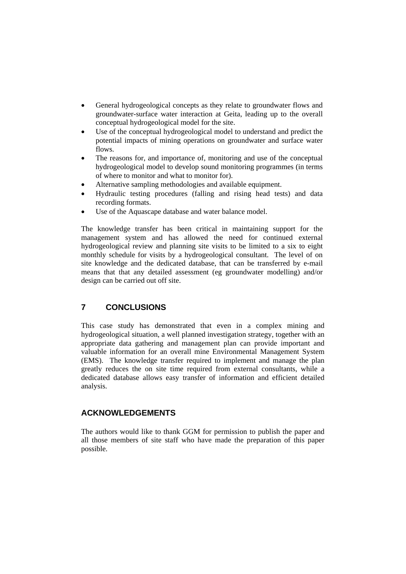- General hydrogeological concepts as they relate to groundwater flows and groundwater-surface water interaction at Geita, leading up to the overall conceptual hydrogeological model for the site.
- Use of the conceptual hydrogeological model to understand and predict the potential impacts of mining operations on groundwater and surface water flows.
- The reasons for, and importance of, monitoring and use of the conceptual hydrogeological model to develop sound monitoring programmes (in terms of where to monitor and what to monitor for).
- Alternative sampling methodologies and available equipment.
- Hydraulic testing procedures (falling and rising head tests) and data recording formats.
- Use of the Aquascape database and water balance model.

The knowledge transfer has been critical in maintaining support for the management system and has allowed the need for continued external hydrogeological review and planning site visits to be limited to a six to eight monthly schedule for visits by a hydrogeological consultant. The level of on site knowledge and the dedicated database, that can be transferred by e-mail means that that any detailed assessment (eg groundwater modelling) and/or design can be carried out off site.

# **7 CONCLUSIONS**

This case study has demonstrated that even in a complex mining and hydrogeological situation, a well planned investigation strategy, together with an appropriate data gathering and management plan can provide important and valuable information for an overall mine Environmental Management System (EMS). The knowledge transfer required to implement and manage the plan greatly reduces the on site time required from external consultants, while a dedicated database allows easy transfer of information and efficient detailed analysis.

# **ACKNOWLEDGEMENTS**

The authors would like to thank GGM for permission to publish the paper and all those members of site staff who have made the preparation of this paper possible.